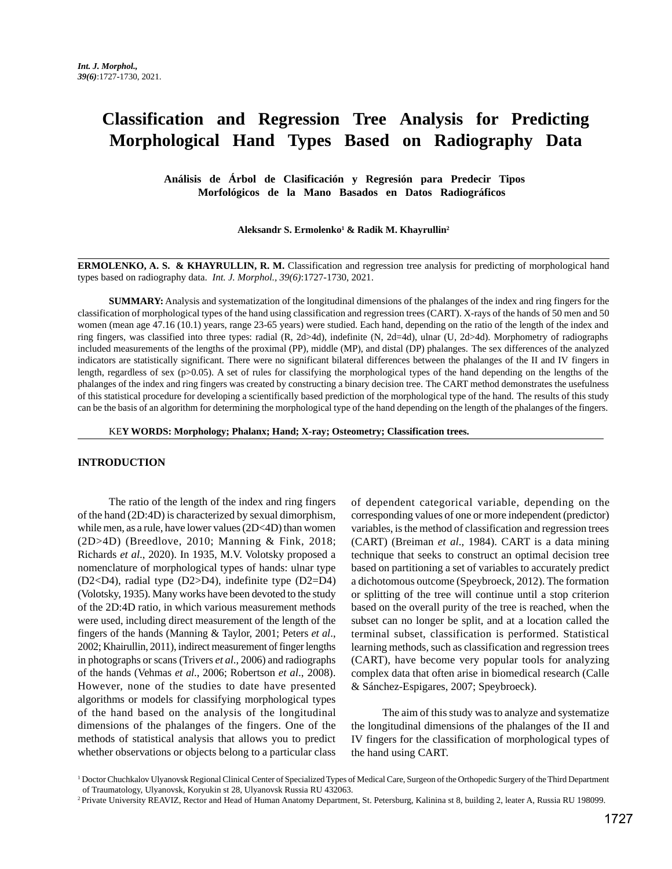# **Classification and Regression Tree Analysis for Predicting Morphological Hand Types Based on Radiography Data**

 **Análisis de Árbol de Clasificación y Regresión para Predecir Tipos Morfológicos de la Mano Basados en Datos Radiográficos**

**Aleksandr S. Ermolenko1 & Radik M. Khayrullin2**

**ERMOLENKO, A. S. & KHAYRULLIN, R. M.** Classification and regression tree analysis for predicting of morphological hand types based on radiography data. *Int. J. Morphol., 39(6)*:1727-1730, 2021.

**SUMMARY:** Analysis and systematization of the longitudinal dimensions of the phalanges of the index and ring fingers for the classification of morphological types of the hand using classification and regression trees (CART). X-rays of the hands of 50 men and 50 women (mean age 47.16 (10.1) years, range 23-65 years) were studied. Each hand, depending on the ratio of the length of the index and ring fingers, was classified into three types: radial (R, 2d>4d), indefinite (N, 2d=4d), ulnar (U, 2d>4d). Morphometry of radiographs included measurements of the lengths of the proximal (PP), middle (MP), and distal (DP) phalanges. The sex differences of the analyzed indicators are statistically significant. There were no significant bilateral differences between the phalanges of the II and IV fingers in length, regardless of sex (p>0.05). A set of rules for classifying the morphological types of the hand depending on the lengths of the phalanges of the index and ring fingers was created by constructing a binary decision tree. The CART method demonstrates the usefulness of this statistical procedure for developing a scientifically based prediction of the morphological type of the hand. The results of this study can be the basis of an algorithm for determining the morphological type of the hand depending on the length of the phalanges of the fingers.

KE**Y WORDS: Morphology; Phalanx; Hand; X-ray; Osteometry; Classification trees.**

### **INTRODUCTION**

The ratio of the length of the index and ring fingers of the hand (2D:4D) is characterized by sexual dimorphism, while men, as a rule, have lower values (2D<4D) than women (2D>4D) (Breedlove, 2010; Manning & Fink, 2018; Richards *et al*., 2020). In 1935, M.V. Volotsky proposed a nomenclature of morphological types of hands: ulnar type (D2<D4), radial type (D2>D4), indefinite type (D2=D4) (Volotsky, 1935). Many works have been devoted to the study of the 2D:4D ratio, in which various measurement methods were used, including direct measurement of the length of the fingers of the hands (Manning & Taylor, 2001; Peters *et al*., 2002; Khairullin, 2011), indirect measurement of finger lengths in photographs or scans (Trivers *et al*., 2006) and radiographs of the hands (Vehmas *et al*., 2006; Robertson *et al*., 2008). However, none of the studies to date have presented algorithms or models for classifying morphological types of the hand based on the analysis of the longitudinal dimensions of the phalanges of the fingers. One of the methods of statistical analysis that allows you to predict whether observations or objects belong to a particular class

of dependent categorical variable, depending on the corresponding values of one or more independent (predictor) variables, is the method of classification and regression trees (CART) (Breiman *et al*., 1984). CART is a data mining technique that seeks to construct an optimal decision tree based on partitioning a set of variables to accurately predict a dichotomous outcome (Speybroeck, 2012). The formation or splitting of the tree will continue until a stop criterion based on the overall purity of the tree is reached, when the subset can no longer be split, and at a location called the terminal subset, classification is performed. Statistical learning methods, such as classification and regression trees (CART), have become very popular tools for analyzing complex data that often arise in biomedical research (Calle & Sánchez-Espigares, 2007; Speybroeck).

The aim of this study was to analyze and systematize the longitudinal dimensions of the phalanges of the II and IV fingers for the classification of morphological types of the hand using CART.

<sup>&</sup>lt;sup>1</sup> Doctor Chuchkalov Ulyanovsk Regional Clinical Center of Specialized Types of Medical Care, Surgeon of the Orthopedic Surgery of the Third Department of Traumatology, Ulyanovsk, Koryukin st 28, Ulyanovsk Russia RU 432063.

<sup>2</sup> Private University REAVIZ, Rector and Head of Human Anatomy Department, St. Petersburg, Kalinina st 8, building 2, leater A, Russia RU 198099.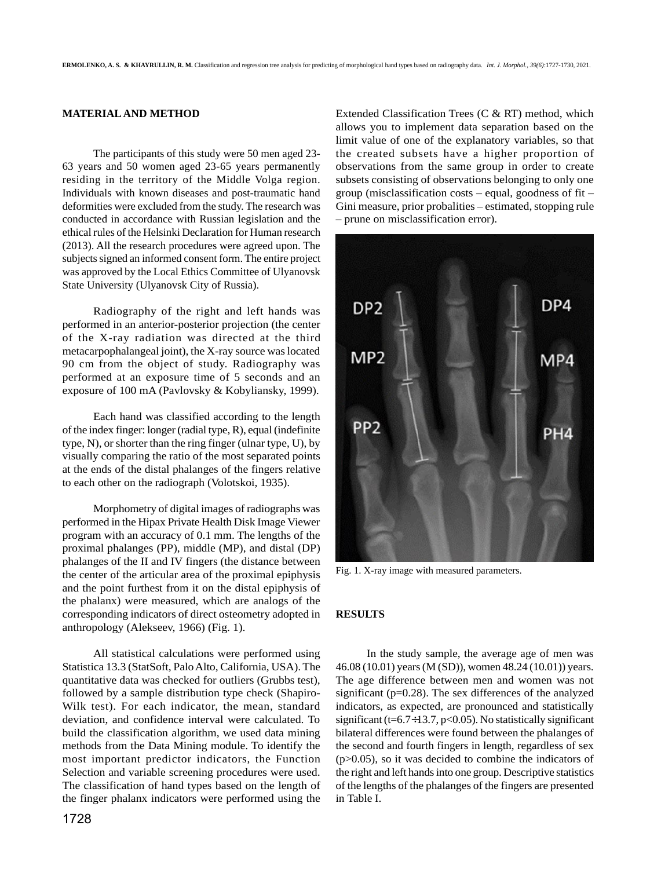## **MATERIAL AND METHOD**

The participants of this study were 50 men aged 23- 63 years and 50 women aged 23-65 years permanently residing in the territory of the Middle Volga region. Individuals with known diseases and post-traumatic hand deformities were excluded from the study. The research was conducted in accordance with Russian legislation and the ethical rules of the Helsinki Declaration for Human research (2013). All the research procedures were agreed upon. The subjects signed an informed consent form. The entire project was approved by the Local Ethics Committee of Ulyanovsk State University (Ulyanovsk City of Russia).

Radiography of the right and left hands was performed in an anterior-posterior projection (the center of the X-ray radiation was directed at the third metacarpophalangeal joint), the X-ray source was located 90 cm from the object of study. Radiography was performed at an exposure time of 5 seconds and an exposure of 100 mA (Pavlovsky & Kobyliansky, 1999).

Each hand was classified according to the length of the index finger: longer (radial type, R), equal (indefinite type, N), or shorter than the ring finger (ulnar type, U), by visually comparing the ratio of the most separated points at the ends of the distal phalanges of the fingers relative to each other on the radiograph (Volotskoi, 1935).

Morphometry of digital images of radiographs was performed in the Hipax Private Health Disk Image Viewer program with an accuracy of 0.1 mm. The lengths of the proximal phalanges (PP), middle (MP), and distal (DP) phalanges of the II and IV fingers (the distance between the center of the articular area of the proximal epiphysis and the point furthest from it on the distal epiphysis of the phalanx) were measured, which are analogs of the corresponding indicators of direct osteometry adopted in anthropology (Alekseev, 1966) (Fig. 1).

All statistical calculations were performed using Statistica 13.3 (StatSoft, Palo Alto, California, USA). The quantitative data was checked for outliers (Grubbs test), followed by a sample distribution type check (Shapiro-Wilk test). For each indicator, the mean, standard deviation, and confidence interval were calculated. To build the classification algorithm, we used data mining methods from the Data Mining module. To identify the most important predictor indicators, the Function Selection and variable screening procedures were used. The classification of hand types based on the length of the finger phalanx indicators were performed using the

1728

Extended Classification Trees (C & RT) method, which allows you to implement data separation based on the limit value of one of the explanatory variables, so that the created subsets have a higher proportion of observations from the same group in order to create subsets consisting of observations belonging to only one group (misclassification costs – equal, goodness of fit – Gini measure, prior probalities – estimated, stopping rule – prune on misclassification error).



Fig. 1. X-ray image with measured parameters.

## **RESULTS**

In the study sample, the average age of men was 46.08 (10.01) years (M (SD)), women 48.24 (10.01)) years. The age difference between men and women was not significant (p=0.28). The sex differences of the analyzed indicators, as expected, are pronounced and statistically significant ( $t=6.7\div 13.7$ ,  $p<0.05$ ). No statistically significant bilateral differences were found between the phalanges of the second and fourth fingers in length, regardless of sex  $(p>0.05)$ , so it was decided to combine the indicators of the right and left hands into one group. Descriptive statistics of the lengths of the phalanges of the fingers are presented in Table I.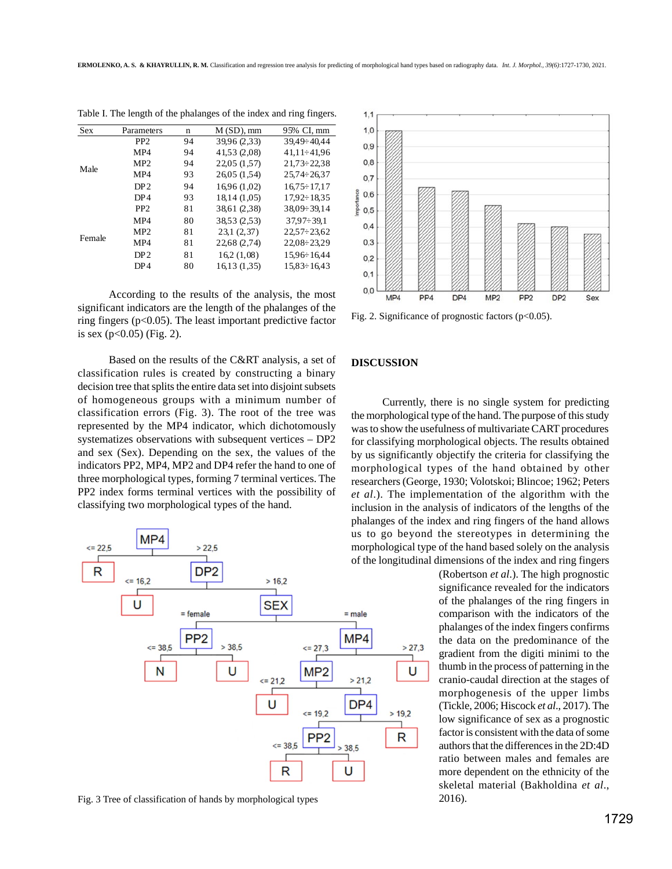**ERMOLENKO, A. S. & KHAYRULLIN, R. M.** Classification and regression tree analysis for predicting of morphological hand types based on radiography data. *Int. J. Morphol., 39(6)*:1727-1730, 2021.

| <b>Sex</b> | Parameters      | n  | $M(SD)$ , mm | 95% CI. mm         |
|------------|-----------------|----|--------------|--------------------|
| Male       | PP <sub>2</sub> | 94 | 39,96 (2,33) | 39,49÷40,44        |
|            | MP4             | 94 | 41,53 (2,08) | 41.11÷41.96        |
|            | MP <sub>2</sub> | 94 | 22,05 (1.57) | $21.73 \div 22.38$ |
|            | MP4             | 93 | 26,05 (1.54) | $25.74 \div 26.37$ |
|            | DP <sub>2</sub> | 94 | 16,96 (1,02) | $16.75 \div 17.17$ |
|            | DP <sub>4</sub> | 93 | 18,14 (1,05) | $17.92 \div 18.35$ |
| Female     | PP <sub>2</sub> | 81 | 38,61 (2.38) | $38,09 \div 39,14$ |
|            | MP4             | 80 | 38,53 (2.53) | $37.97 \div 39.1$  |
|            | MP2             | 81 | 23,1(2,37)   | $22,57 \div 23,62$ |
|            | MP4             | 81 | 22,68 (2,74) | $22.08 \div 23.29$ |
|            | DP <sub>2</sub> | 81 | 16.2(1,08)   | $15.96 \div 16.44$ |
|            | DP <sub>4</sub> | 80 | 16,13 (1,35) | $15.83 \div 16.43$ |

Table I. The length of the phalanges of the index and ring fingers.

According to the results of the analysis, the most significant indicators are the length of the phalanges of the ring fingers (p<0.05). The least important predictive factor is sex  $(p<0.05)$  (Fig. 2).

Based on the results of the C&RT analysis, a set of classification rules is created by constructing a binary decision tree that splits the entire data set into disjoint subsets of homogeneous groups with a minimum number of classification errors (Fig. 3). The root of the tree was represented by the MP4 indicator, which dichotomously systematizes observations with subsequent vertices – DP2 and sex (Sex). Depending on the sex, the values of the indicators PP2, MP4, MP2 and DP4 refer the hand to one of three morphological types, forming 7 terminal vertices. The PP2 index forms terminal vertices with the possibility of classifying two morphological types of the hand.



Fig. 3 Tree of classification of hands by morphological types



Fig. 2. Significance of prognostic factors  $(p<0.05)$ .

#### **DISCUSSION**

Currently, there is no single system for predicting the morphological type of the hand. The purpose of this study was to show the usefulness of multivariate CART procedures for classifying morphological objects. The results obtained by us significantly objectify the criteria for classifying the morphological types of the hand obtained by other researchers (George, 1930; Volotskoi; Blincoe; 1962; Peters *et al*.). The implementation of the algorithm with the inclusion in the analysis of indicators of the lengths of the phalanges of the index and ring fingers of the hand allows us to go beyond the stereotypes in determining the morphological type of the hand based solely on the analysis of the longitudinal dimensions of the index and ring fingers

> (Robertson *et al*.). The high prognostic significance revealed for the indicators of the phalanges of the ring fingers in comparison with the indicators of the phalanges of the index fingers confirms the data on the predominance of the gradient from the digiti minimi to the thumb in the process of patterning in the cranio-caudal direction at the stages of morphogenesis of the upper limbs (Tickle, 2006; Hiscock *et al*., 2017). The low significance of sex as a prognostic factor is consistent with the data of some authors that the differences in the 2D:4D ratio between males and females are more dependent on the ethnicity of the skeletal material (Bakholdina *et al*., 2016).